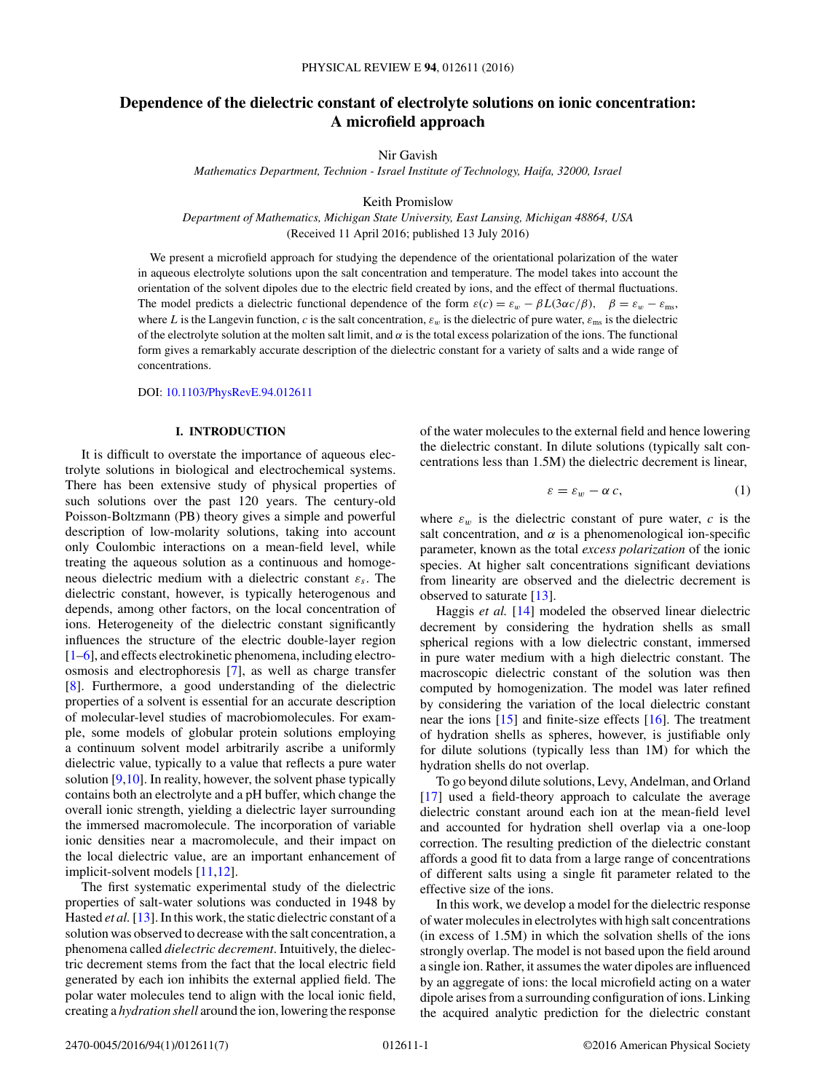# <span id="page-0-0"></span>**Dependence of the dielectric constant of electrolyte solutions on ionic concentration: A microfield approach**

Nir Gavish

*Mathematics Department, Technion - Israel Institute of Technology, Haifa, 32000, Israel*

Keith Promislow

*Department of Mathematics, Michigan State University, East Lansing, Michigan 48864, USA* (Received 11 April 2016; published 13 July 2016)

We present a microfield approach for studying the dependence of the orientational polarization of the water in aqueous electrolyte solutions upon the salt concentration and temperature. The model takes into account the orientation of the solvent dipoles due to the electric field created by ions, and the effect of thermal fluctuations. The model predicts a dielectric functional dependence of the form  $\varepsilon(c) = \varepsilon_w - \beta L(3\alpha c/\beta)$ ,  $\beta = \varepsilon_w - \varepsilon_{\text{ms}}$ , where *L* is the Langevin function, *c* is the salt concentration,  $\varepsilon_w$  is the dielectric of pure water,  $\varepsilon_{\text{ms}}$  is the dielectric of the electrolyte solution at the molten salt limit, and *α* is the total excess polarization of the ions. The functional form gives a remarkably accurate description of the dielectric constant for a variety of salts and a wide range of concentrations.

DOI: [10.1103/PhysRevE.94.012611](http://dx.doi.org/10.1103/PhysRevE.94.012611)

## **I. INTRODUCTION**

It is difficult to overstate the importance of aqueous electrolyte solutions in biological and electrochemical systems. There has been extensive study of physical properties of such solutions over the past 120 years. The century-old Poisson-Boltzmann (PB) theory gives a simple and powerful description of low-molarity solutions, taking into account only Coulombic interactions on a mean-field level, while treating the aqueous solution as a continuous and homogeneous dielectric medium with a dielectric constant *εs*. The dielectric constant, however, is typically heterogenous and depends, among other factors, on the local concentration of ions. Heterogeneity of the dielectric constant significantly influences the structure of the electric double-layer region [\[1–6\]](#page-5-0), and effects electrokinetic phenomena, including electroosmosis and electrophoresis [\[7\]](#page-5-0), as well as charge transfer [\[8\]](#page-5-0). Furthermore, a good understanding of the dielectric properties of a solvent is essential for an accurate description of molecular-level studies of macrobiomolecules. For example, some models of globular protein solutions employing a continuum solvent model arbitrarily ascribe a uniformly dielectric value, typically to a value that reflects a pure water solution [\[9,10\]](#page-5-0). In reality, however, the solvent phase typically contains both an electrolyte and a pH buffer, which change the overall ionic strength, yielding a dielectric layer surrounding the immersed macromolecule. The incorporation of variable ionic densities near a macromolecule, and their impact on the local dielectric value, are an important enhancement of implicit-solvent models [\[11,12\]](#page-5-0).

The first systematic experimental study of the dielectric properties of salt-water solutions was conducted in 1948 by Hasted *et al.*[\[13\]](#page-5-0). In this work, the static dielectric constant of a solution was observed to decrease with the salt concentration, a phenomena called *dielectric decrement*. Intuitively, the dielectric decrement stems from the fact that the local electric field generated by each ion inhibits the external applied field. The polar water molecules tend to align with the local ionic field, creating a *hydration shell* around the ion, lowering the response

of the water molecules to the external field and hence lowering the dielectric constant. In dilute solutions (typically salt concentrations less than 1.5M) the dielectric decrement is linear,

$$
\varepsilon = \varepsilon_w - \alpha \, c,\tag{1}
$$

where  $\varepsilon_w$  is the dielectric constant of pure water,  $c$  is the salt concentration, and  $\alpha$  is a phenomenological ion-specific parameter, known as the total *excess polarization* of the ionic species. At higher salt concentrations significant deviations from linearity are observed and the dielectric decrement is observed to saturate [\[13\]](#page-5-0).

Haggis *et al.* [\[14\]](#page-5-0) modeled the observed linear dielectric decrement by considering the hydration shells as small spherical regions with a low dielectric constant, immersed in pure water medium with a high dielectric constant. The macroscopic dielectric constant of the solution was then computed by homogenization. The model was later refined by considering the variation of the local dielectric constant near the ions [\[15\]](#page-5-0) and finite-size effects [\[16\]](#page-5-0). The treatment of hydration shells as spheres, however, is justifiable only for dilute solutions (typically less than 1M) for which the hydration shells do not overlap.

To go beyond dilute solutions, Levy, Andelman, and Orland [\[17\]](#page-5-0) used a field-theory approach to calculate the average dielectric constant around each ion at the mean-field level and accounted for hydration shell overlap via a one-loop correction. The resulting prediction of the dielectric constant affords a good fit to data from a large range of concentrations of different salts using a single fit parameter related to the effective size of the ions.

In this work, we develop a model for the dielectric response of water molecules in electrolytes with high salt concentrations (in excess of 1.5M) in which the solvation shells of the ions strongly overlap. The model is not based upon the field around a single ion. Rather, it assumes the water dipoles are influenced by an aggregate of ions: the local microfield acting on a water dipole arises from a surrounding configuration of ions. Linking the acquired analytic prediction for the dielectric constant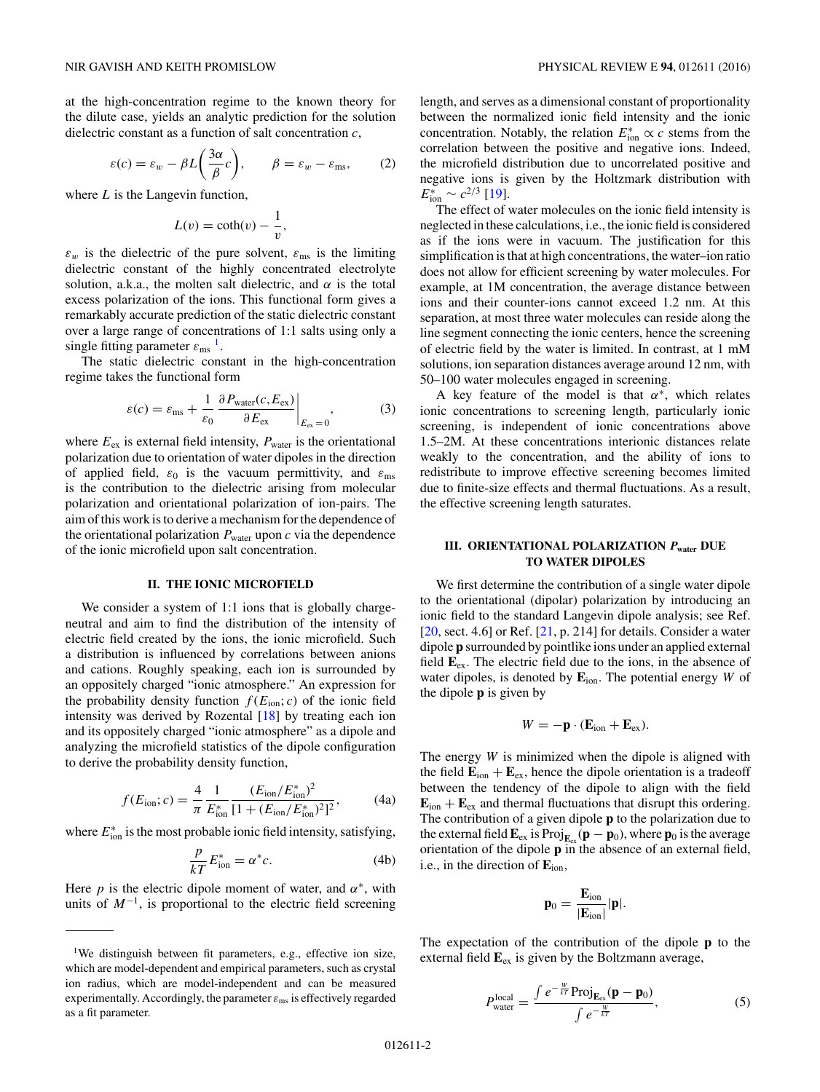<span id="page-1-0"></span>at the high-concentration regime to the known theory for the dilute case, yields an analytic prediction for the solution dielectric constant as a function of salt concentration *c*,

$$
\varepsilon(c) = \varepsilon_w - \beta L \left(\frac{3\alpha}{\beta}c\right), \qquad \beta = \varepsilon_w - \varepsilon_{\text{ms}}, \qquad (2)
$$

where *L* is the Langevin function,

$$
L(v) = \coth(v) - \frac{1}{v},
$$

 $\varepsilon_w$  is the dielectric of the pure solvent,  $\varepsilon_{\text{ms}}$  is the limiting dielectric constant of the highly concentrated electrolyte solution, a.k.a., the molten salt dielectric, and  $\alpha$  is the total excess polarization of the ions. This functional form gives a remarkably accurate prediction of the static dielectric constant over a large range of concentrations of 1:1 salts using only a single fitting parameter  $\varepsilon_{\rm ms}$ <sup>1</sup>.

The static dielectric constant in the high-concentration regime takes the functional form

$$
\varepsilon(c) = \varepsilon_{\text{ms}} + \frac{1}{\varepsilon_0} \frac{\partial P_{\text{water}}(c, E_{\text{ex}})}{\partial E_{\text{ex}}} \bigg|_{E_{\text{ex}} = 0},\tag{3}
$$

where  $E_{\text{ex}}$  is external field intensity,  $P_{\text{water}}$  is the orientational polarization due to orientation of water dipoles in the direction of applied field,  $\varepsilon_0$  is the vacuum permittivity, and  $\varepsilon_{\text{ms}}$ is the contribution to the dielectric arising from molecular polarization and orientational polarization of ion-pairs. The aim of this work is to derive a mechanism for the dependence of the orientational polarization  $P_{\text{water}}$  upon  $c$  via the dependence of the ionic microfield upon salt concentration.

## **II. THE IONIC MICROFIELD**

We consider a system of 1:1 ions that is globally chargeneutral and aim to find the distribution of the intensity of electric field created by the ions, the ionic microfield. Such a distribution is influenced by correlations between anions and cations. Roughly speaking, each ion is surrounded by an oppositely charged "ionic atmosphere." An expression for the probability density function  $f(E_{\text{ion}}; c)$  of the ionic field intensity was derived by Rozental  $[18]$  by treating each ion and its oppositely charged "ionic atmosphere" as a dipole and analyzing the microfield statistics of the dipole configuration to derive the probability density function,

$$
f(E_{\text{ion}}; c) = \frac{4}{\pi} \frac{1}{E_{\text{ion}}^*} \frac{(E_{\text{ion}}/E_{\text{ion}}^*)^2}{[1 + (E_{\text{ion}}/E_{\text{ion}}^*)^2]^2},\tag{4a}
$$

where  $E_{\text{ion}}^*$  is the most probable ionic field intensity, satisfying,

$$
\frac{p}{kT}E_{\text{ion}}^* = \alpha^*c. \tag{4b}
$$

Here *p* is the electric dipole moment of water, and  $\alpha^*$ , with units of  $M^{-1}$ , is proportional to the electric field screening length, and serves as a dimensional constant of proportionality between the normalized ionic field intensity and the ionic concentration. Notably, the relation  $E_{\text{ion}}^* \propto c$  stems from the correlation between the positive and negative ions. Indeed, the microfield distribution due to uncorrelated positive and negative ions is given by the Holtzmark distribution with  $E_{\text{ion}}^* \sim c^{2/3}$  [\[19\]](#page-5-0).

The effect of water molecules on the ionic field intensity is neglected in these calculations, i.e., the ionic field is considered as if the ions were in vacuum. The justification for this simplification is that at high concentrations, the water–ion ratio does not allow for efficient screening by water molecules. For example, at 1M concentration, the average distance between ions and their counter-ions cannot exceed 1.2 nm. At this separation, at most three water molecules can reside along the line segment connecting the ionic centers, hence the screening of electric field by the water is limited. In contrast, at 1 mM solutions, ion separation distances average around 12 nm, with 50–100 water molecules engaged in screening.

A key feature of the model is that *α*∗, which relates ionic concentrations to screening length, particularly ionic screening, is independent of ionic concentrations above 1.5–2M. At these concentrations interionic distances relate weakly to the concentration, and the ability of ions to redistribute to improve effective screening becomes limited due to finite-size effects and thermal fluctuations. As a result, the effective screening length saturates.

# **III. ORIENTATIONAL POLARIZATION** *P***water DUE TO WATER DIPOLES**

We first determine the contribution of a single water dipole to the orientational (dipolar) polarization by introducing an ionic field to the standard Langevin dipole analysis; see Ref.  $[20, \text{sect. } 4.6]$  $[20, \text{sect. } 4.6]$  or Ref.  $[21, p. 214]$  $[21, p. 214]$  for details. Consider a water dipole **p** surrounded by pointlike ions under an applied external field **E**ex. The electric field due to the ions, in the absence of water dipoles, is denoted by **E**ion. The potential energy *W* of the dipole **p** is given by

$$
W = -\mathbf{p} \cdot (\mathbf{E}_{\text{ion}} + \mathbf{E}_{\text{ex}}).
$$

The energy *W* is minimized when the dipole is aligned with the field  $\mathbf{E}_{ion} + \mathbf{E}_{ex}$ , hence the dipole orientation is a tradeoff between the tendency of the dipole to align with the field  $\mathbf{E}_{\text{ion}} + \mathbf{E}_{\text{ex}}$  and thermal fluctuations that disrupt this ordering. The contribution of a given dipole **p** to the polarization due to the external field  $\mathbf{E}_{ex}$  is Proj $_{\mathbf{E}_{ex}}(\mathbf{p} - \mathbf{p}_0)$ , where  $\mathbf{p}_0$  is the average orientation of the dipole **p** in the absence of an external field, i.e., in the direction of **E**ion,

$$
\mathbf{p}_0 = \frac{\mathbf{E}_{\text{ion}}}{|\mathbf{E}_{\text{ion}}|} |\mathbf{p}|.
$$

The expectation of the contribution of the dipole **p** to the external field **E**ex is given by the Boltzmann average,

$$
P_{\text{water}}^{\text{local}} = \frac{\int e^{-\frac{W}{kT}} \text{Proj}_{\mathbf{E}_{\text{ex}}}(\mathbf{p} - \mathbf{p}_0)}{\int e^{-\frac{W}{kT}}},\tag{5}
$$

<sup>&</sup>lt;sup>1</sup>We distinguish between fit parameters, e.g., effective ion size, which are model-dependent and empirical parameters, such as crystal ion radius, which are model-independent and can be measured experimentally. Accordingly, the parameter  $\varepsilon_{\text{ms}}$  is effectively regarded as a fit parameter.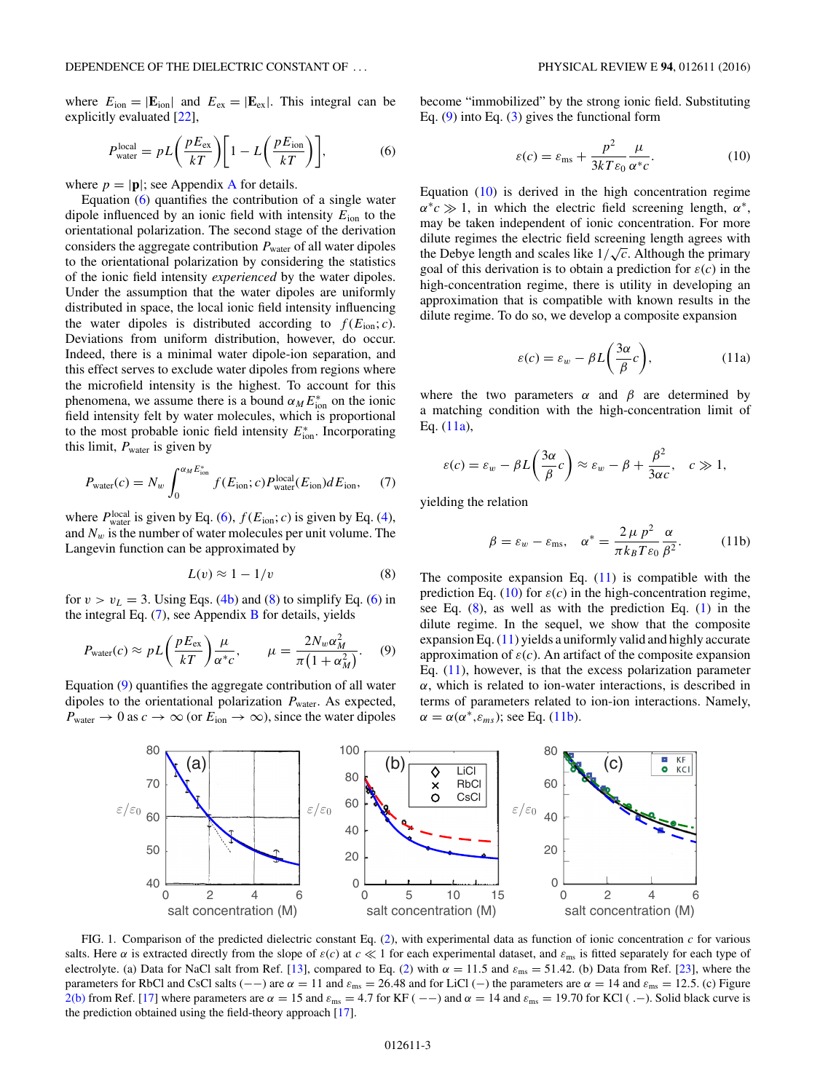<span id="page-2-0"></span>where  $E_{\text{ion}} = |\mathbf{E}_{\text{ion}}|$  and  $E_{\text{ex}} = |\mathbf{E}_{\text{ex}}|$ . This integral can be explicitly evaluated [\[22\]](#page-5-0),

$$
P_{\text{water}}^{\text{local}} = pL\left(\frac{pE_{\text{ex}}}{kT}\right)\left[1 - L\left(\frac{pE_{\text{ion}}}{kT}\right)\right],\tag{6}
$$

where  $p = |\mathbf{p}|$ ; see [A](#page-4-0)ppendix **A** for details.

Equation (6) quantifies the contribution of a single water dipole influenced by an ionic field with intensity *E*ion to the orientational polarization. The second stage of the derivation considers the aggregate contribution  $P_{\text{water}}$  of all water dipoles to the orientational polarization by considering the statistics of the ionic field intensity *experienced* by the water dipoles. Under the assumption that the water dipoles are uniformly distributed in space, the local ionic field intensity influencing the water dipoles is distributed according to  $f(E_{\text{ion}}; c)$ . Deviations from uniform distribution, however, do occur. Indeed, there is a minimal water dipole-ion separation, and this effect serves to exclude water dipoles from regions where the microfield intensity is the highest. To account for this phenomena, we assume there is a bound  $\alpha_M E_{\text{ion}}^*$  on the ionic field intensity felt by water molecules, which is proportional to the most probable ionic field intensity  $E_{\text{ion}}^*$ . Incorporating this limit,  $P_{\text{water}}$  is given by

$$
P_{\text{water}}(c) = N_w \int_0^{\alpha_M E_{\text{ion}}^*} f(E_{\text{ion}}; c) P_{\text{water}}^{\text{local}}(E_{\text{ion}}) dE_{\text{ion}}, \quad (7)
$$

where  $P_{\text{water}}^{\text{local}}$  is given by Eq. (6),  $f(E_{\text{ion}}; c)$  is given by Eq. [\(4\)](#page-1-0), and  $N_w$  is the number of water molecules per unit volume. The Langevin function can be approximated by

$$
L(v) \approx 1 - 1/v \tag{8}
$$

for  $v > v_L = 3$ . Using Eqs. [\(4b\)](#page-1-0) and (8) to simplify Eq. (6) in the integral Eq.  $(7)$ , see Appendix [B](#page-5-0) for details, yields

$$
P_{\text{water}}(c) \approx pL\left(\frac{pE_{\text{ex}}}{kT}\right)\frac{\mu}{\alpha^*c}, \qquad \mu = \frac{2N_w\alpha_M^2}{\pi\left(1 + \alpha_M^2\right)}.\tag{9}
$$

Equation (9) quantifies the aggregate contribution of all water dipoles to the orientational polarization  $P_{\text{water}}$ . As expected,  $P_{\text{water}} \rightarrow 0$  as  $c \rightarrow \infty$  (or  $E_{\text{ion}} \rightarrow \infty$ ), since the water dipoles become "immobilized" by the strong ionic field. Substituting Eq.  $(9)$  into Eq.  $(3)$  gives the functional form

$$
\varepsilon(c) = \varepsilon_{\text{ms}} + \frac{p^2}{3kT\varepsilon_0} \frac{\mu}{\alpha^*c}.
$$
 (10)

Equation  $(10)$  is derived in the high concentration regime  $\alpha$ <sup>\*</sup>*c*  $\gg$  1, in which the electric field screening length,  $\alpha$ <sup>\*</sup>, may be taken independent of ionic concentration. For more dilute regimes the electric field screening length agrees with the Debye length and scales like  $1/\sqrt{c}$ . Although the primary goal of this derivation is to obtain a prediction for  $\varepsilon(c)$  in the high-concentration regime, there is utility in developing an approximation that is compatible with known results in the dilute regime. To do so, we develop a composite expansion

$$
\varepsilon(c) = \varepsilon_w - \beta L \left(\frac{3\alpha}{\beta}c\right),\tag{11a}
$$

where the two parameters  $\alpha$  and  $\beta$  are determined by a matching condition with the high-concentration limit of Eq. (11a),

$$
\varepsilon(c) = \varepsilon_w - \beta L \left( \frac{3\alpha}{\beta} c \right) \approx \varepsilon_w - \beta + \frac{\beta^2}{3\alpha c}, \quad c \gg 1,
$$

yielding the relation

$$
\beta = \varepsilon_w - \varepsilon_{\text{ms}}, \quad \alpha^* = \frac{2 \mu \ p^2}{\pi k_B T \varepsilon_0} \frac{\alpha}{\beta^2}.
$$
 (11b)

The composite expansion Eq.  $(11)$  is compatible with the prediction Eq. (10) for  $\varepsilon(c)$  in the high-concentration regime, see Eq. (8), as well as with the prediction Eq. [\(1\)](#page-0-0) in the dilute regime. In the sequel, we show that the composite expansion Eq.  $(11)$  yields a uniformly valid and highly accurate approximation of  $\varepsilon(c)$ . An artifact of the composite expansion Eq.  $(11)$ , however, is that the excess polarization parameter *α*, which is related to ion-water interactions, is described in terms of parameters related to ion-ion interactions. Namely,  $\alpha = \alpha(\alpha^*, \varepsilon_{ms})$ ; see Eq. (11b).



FIG. 1. Comparison of the predicted dielectric constant Eq. [\(2\)](#page-1-0), with experimental data as function of ionic concentration *c* for various salts. Here  $\alpha$  is extracted directly from the slope of  $\varepsilon(c)$  at  $c \ll 1$  for each experimental dataset, and  $\varepsilon_{\rm ms}$  is fitted separately for each type of electrolyte. (a) Data for NaCl salt from Ref. [\[13\]](#page-5-0), compared to Eq. [\(2\)](#page-1-0) with  $\alpha = 11.5$  and  $\varepsilon_{\text{ms}} = 51.42$ . (b) Data from Ref. [\[23\]](#page-5-0), where the parameters for RbCl and CsCl salts (--) are  $\alpha = 11$  and  $\varepsilon_{\text{ms}} = 26.48$  and for LiCl (-) the parameters are  $\alpha = 14$  and  $\varepsilon_{\text{ms}} = 12.5$ . (c) Figure [2\(b\)](#page-3-0) from Ref. [\[17\]](#page-5-0) where parameters are  $α = 15$  and  $ε_{ms} = 4.7$  for KF (-−) and  $α = 14$  and  $ε_{ms} = 19.70$  for KCl (.−). Solid black curve is the prediction obtained using the field-theory approach [\[17\]](#page-5-0).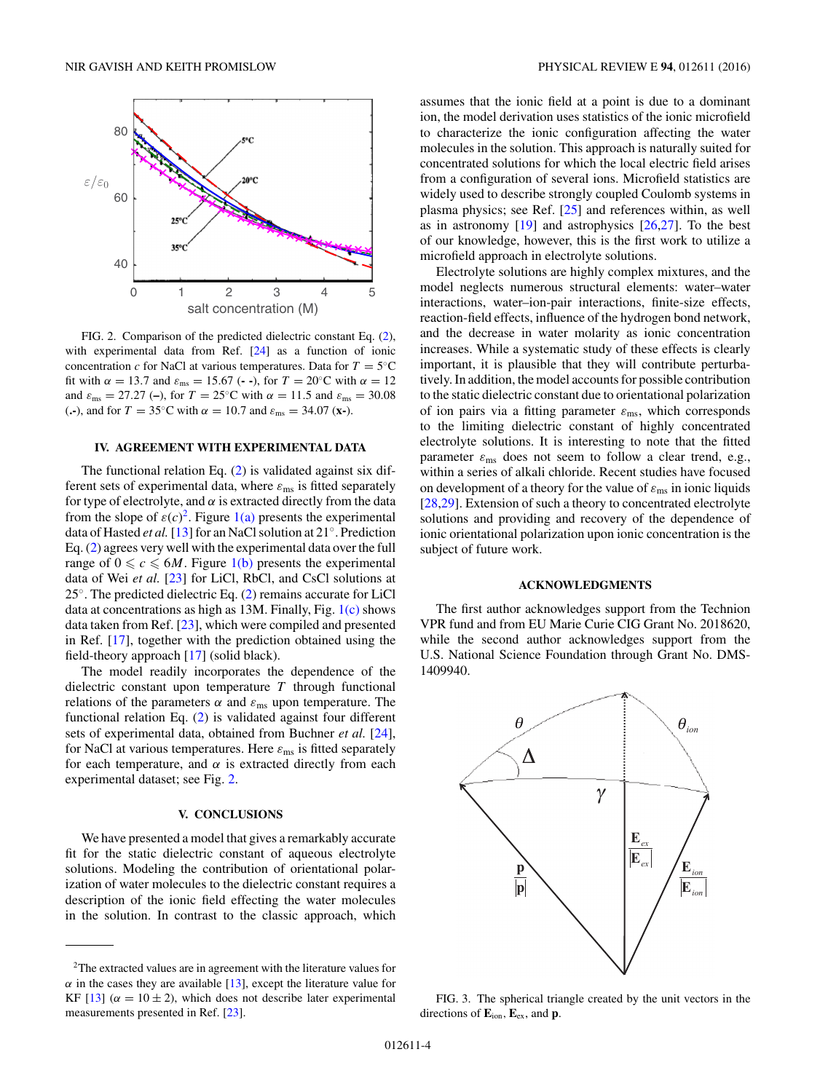<span id="page-3-0"></span>

FIG. 2. Comparison of the predicted dielectric constant Eq. [\(2\)](#page-1-0), with experimental data from Ref. [\[24\]](#page-6-0) as a function of ionic concentration *c* for NaCl at various temperatures. Data for  $T = 5°C$ fit with  $\alpha = 13.7$  and  $\varepsilon_{\text{ms}} = 15.67$  (--), for  $T = 20$ °C with  $\alpha = 12$ and  $\varepsilon_{\text{ms}} = 27.27$  (-), for  $T = 25$ °C with  $\alpha = 11.5$  and  $\varepsilon_{\text{ms}} = 30.08$ (**.**–), and for  $T = 35$ °C with  $\alpha = 10.7$  and  $\varepsilon_{\text{ms}} = 34.07$  (**x**–).

#### **IV. AGREEMENT WITH EXPERIMENTAL DATA**

The functional relation Eq. [\(2\)](#page-1-0) is validated against six different sets of experimental data, where  $\varepsilon_{\rm ms}$  is fitted separately for type of electrolyte, and  $\alpha$  is extracted directly from the data from the slope of  $\varepsilon(c)^2$ . Figure [1\(a\)](#page-2-0) presents the experimental data of Hasted *et al.*[\[13\]](#page-5-0) for an NaCl solution at 21◦. Prediction Eq. [\(2\)](#page-1-0) agrees very well with the experimental data over the full range of  $0 \leq c \leq 6M$ . Figure [1\(b\)](#page-2-0) presents the experimental data of Wei *et al.* [\[23\]](#page-5-0) for LiCl, RbCl, and CsCl solutions at 25<sup>°</sup>. The predicted dielectric Eq. [\(2\)](#page-1-0) remains accurate for LiCl data at concentrations as high as 13M. Finally, Fig. [1\(c\)](#page-2-0) shows data taken from Ref. [\[23\]](#page-5-0), which were compiled and presented in Ref. [\[17\]](#page-5-0), together with the prediction obtained using the field-theory approach [\[17\]](#page-5-0) (solid black).

The model readily incorporates the dependence of the dielectric constant upon temperature *T* through functional relations of the parameters  $\alpha$  and  $\varepsilon_{\text{ms}}$  upon temperature. The functional relation Eq. [\(2\)](#page-1-0) is validated against four different sets of experimental data, obtained from Buchner *et al.* [\[24\]](#page-6-0), for NaCl at various temperatures. Here  $\varepsilon_{\rm ms}$  is fitted separately for each temperature, and  $\alpha$  is extracted directly from each experimental dataset; see Fig. 2.

### **V. CONCLUSIONS**

We have presented a model that gives a remarkably accurate fit for the static dielectric constant of aqueous electrolyte solutions. Modeling the contribution of orientational polarization of water molecules to the dielectric constant requires a description of the ionic field effecting the water molecules in the solution. In contrast to the classic approach, which

assumes that the ionic field at a point is due to a dominant ion, the model derivation uses statistics of the ionic microfield to characterize the ionic configuration affecting the water molecules in the solution. This approach is naturally suited for concentrated solutions for which the local electric field arises from a configuration of several ions. Microfield statistics are widely used to describe strongly coupled Coulomb systems in plasma physics; see Ref. [\[25\]](#page-6-0) and references within, as well as in astronomy  $[19]$  and astrophysics  $[26,27]$ . To the best of our knowledge, however, this is the first work to utilize a microfield approach in electrolyte solutions.

Electrolyte solutions are highly complex mixtures, and the model neglects numerous structural elements: water–water interactions, water–ion-pair interactions, finite-size effects, reaction-field effects, influence of the hydrogen bond network, and the decrease in water molarity as ionic concentration increases. While a systematic study of these effects is clearly important, it is plausible that they will contribute perturbatively. In addition, the model accounts for possible contribution to the static dielectric constant due to orientational polarization of ion pairs via a fitting parameter *ε*ms, which corresponds to the limiting dielectric constant of highly concentrated electrolyte solutions. It is interesting to note that the fitted parameter  $\varepsilon_{\text{ms}}$  does not seem to follow a clear trend, e.g., within a series of alkali chloride. Recent studies have focused on development of a theory for the value of  $\varepsilon_{\text{ms}}$  in ionic liquids [\[28,29\]](#page-6-0). Extension of such a theory to concentrated electrolyte solutions and providing and recovery of the dependence of ionic orientational polarization upon ionic concentration is the subject of future work.

#### **ACKNOWLEDGMENTS**

The first author acknowledges support from the Technion VPR fund and from EU Marie Curie CIG Grant No. 2018620, while the second author acknowledges support from the U.S. National Science Foundation through Grant No. DMS-1409940.



FIG. 3. The spherical triangle created by the unit vectors in the directions of **E**ion*,* **E**ex, and **p**.

<sup>2</sup>The extracted values are in agreement with the literature values for  $\alpha$  in the cases they are available [\[13\]](#page-5-0), except the literature value for KF  $[13]$  ( $\alpha = 10 \pm 2$ ), which does not describe later experimental measurements presented in Ref. [\[23\]](#page-5-0).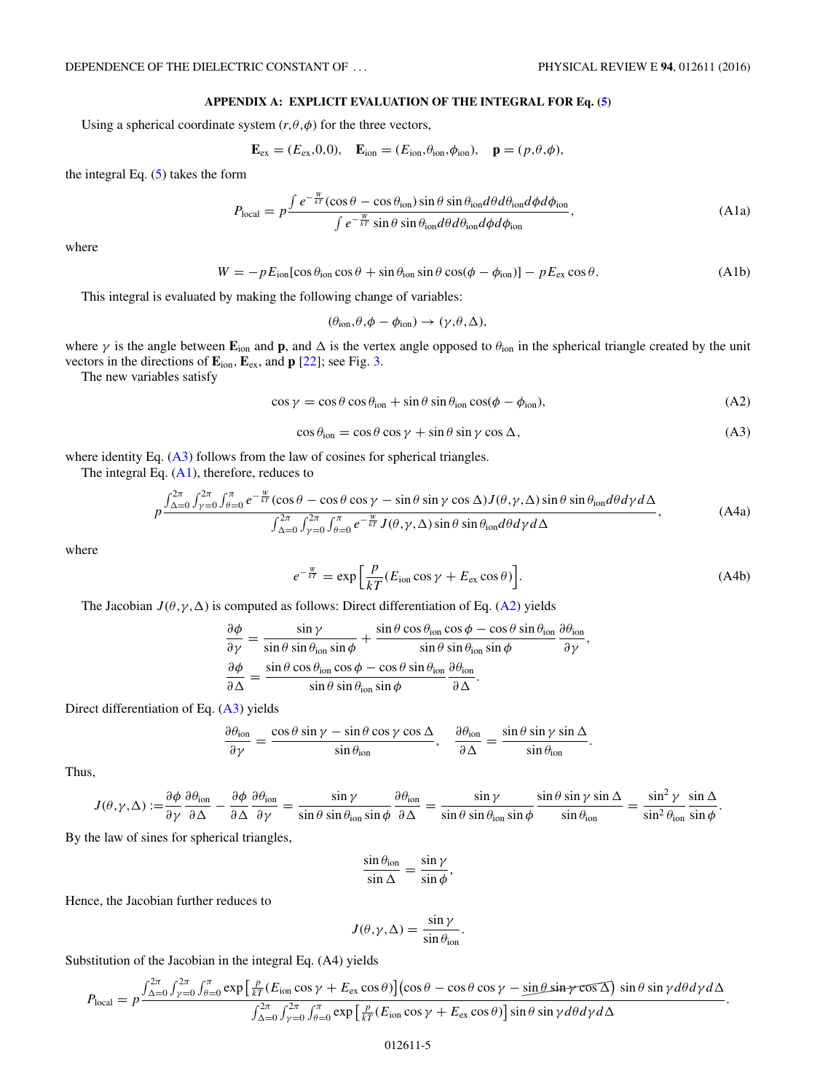# **APPENDIX A: EXPLICIT EVALUATION OF THE INTEGRAL FOR Eq. [\(5\)](#page-1-0)**

<span id="page-4-0"></span>Using a spherical coordinate system  $(r, \theta, \phi)$  for the three vectors,

$$
\mathbf{E}_{\text{ex}} = (E_{\text{ex}}, 0, 0), \quad \mathbf{E}_{\text{ion}} = (E_{\text{ion}}, \theta_{\text{ion}}, \phi_{\text{ion}}), \quad \mathbf{p} = (p, \theta, \phi),
$$

the integral Eq.  $(5)$  takes the form

$$
P_{\text{local}} = p \frac{\int e^{-\frac{W}{kT}} (\cos \theta - \cos \theta_{\text{ion}}) \sin \theta \sin \theta_{\text{ion}} d\theta d\theta_{\text{ion}} d\phi d\phi_{\text{ion}}}{\int e^{-\frac{W}{kT}} \sin \theta \sin \theta_{\text{ion}} d\theta d\theta_{\text{ion}} d\phi d\phi_{\text{ion}}},
$$
(A1a)

where

$$
W = -pE_{\text{ion}}[\cos\theta_{\text{ion}}\cos\theta + \sin\theta_{\text{ion}}\sin\theta\cos(\phi - \phi_{\text{ion}})] - pE_{\text{ex}}\cos\theta.
$$
 (A1b)

This integral is evaluated by making the following change of variables:

$$
(\theta_{\text{ion}}, \theta, \phi - \phi_{\text{ion}}) \rightarrow (\gamma, \theta, \Delta),
$$

where *γ* is the angle between **E**ion and **p**, and  is the vertex angle opposed to *θ*ion in the spherical triangle created by the unit vectors in the directions of **E**ion*,***E**ex, and **p** [\[22\]](#page-5-0); see Fig. [3.](#page-3-0)

The new variables satisfy

$$
\cos \gamma = \cos \theta \cos \theta_{\text{ion}} + \sin \theta \sin \theta_{\text{ion}} \cos(\phi - \phi_{\text{ion}}), \tag{A2}
$$

$$
\cos \theta_{\text{ion}} = \cos \theta \cos \gamma + \sin \theta \sin \gamma \cos \Delta, \tag{A3}
$$

where identity Eq. (A3) follows from the law of cosines for spherical triangles.

The integral Eq.  $(A1)$ , therefore, reduces to

$$
p \frac{\int_{\Delta=0}^{2\pi} \int_{\gamma=0}^{2\pi} \int_{\theta=0}^{\pi} e^{-\frac{W}{kT}} (\cos \theta - \cos \theta \cos \gamma - \sin \theta \sin \gamma \cos \Delta) J(\theta, \gamma, \Delta) \sin \theta \sin \theta_{\text{ion}} d\theta d\gamma d\Delta}{\int_{\Delta=0}^{2\pi} \int_{\gamma=0}^{2\pi} \int_{\theta=0}^{\pi} e^{-\frac{W}{kT}} J(\theta, \gamma, \Delta) \sin \theta \sin \theta_{\text{ion}} d\theta d\gamma d\Delta},
$$
 (A4a)

where

$$
e^{-\frac{W}{kT}} = \exp\left[\frac{p}{kT}(E_{\text{ion}}\cos\gamma + E_{\text{ex}}\cos\theta)\right].\tag{A4b}
$$

The Jacobian  $J(\theta, \gamma, \Delta)$  is computed as follows: Direct differentiation of Eq. (A2) yields

$$
\frac{\partial \phi}{\partial \gamma} = \frac{\sin \gamma}{\sin \theta \sin \theta_{\text{ion}} \sin \phi} + \frac{\sin \theta \cos \theta_{\text{ion}} \cos \phi - \cos \theta \sin \theta_{\text{ion}}}{\sin \theta \sin \theta_{\text{ion}} \sin \phi} \frac{\partial \theta_{\text{ion}}}{\partial \gamma},
$$

$$
\frac{\partial \phi}{\partial \Delta} = \frac{\sin \theta \cos \theta_{\text{ion}} \cos \phi - \cos \theta \sin \theta_{\text{ion}}}{\sin \theta \sin \theta_{\text{ion}} \sin \phi} \frac{\partial \theta_{\text{ion}}}{\partial \Delta}.
$$

Direct differentiation of Eq. (A3) yields

$$
\frac{\partial \theta_{\text{ion}}}{\partial \gamma} = \frac{\cos \theta \sin \gamma - \sin \theta \cos \gamma \cos \Delta}{\sin \theta_{\text{ion}}}, \quad \frac{\partial \theta_{\text{ion}}}{\partial \Delta} = \frac{\sin \theta \sin \gamma \sin \Delta}{\sin \theta_{\text{ion}}}.
$$

Thus,

$$
J(\theta,\gamma,\Delta) := \frac{\partial \phi}{\partial \gamma} \frac{\partial \theta_{\text{ion}}}{\partial \Delta} - \frac{\partial \phi}{\partial \Delta} \frac{\partial \theta_{\text{ion}}}{\partial \gamma} = \frac{\sin \gamma}{\sin \theta \sin \theta_{\text{ion}} \sin \phi} \frac{\partial \theta_{\text{ion}}}{\partial \Delta} = \frac{\sin \gamma}{\sin \theta \sin \theta_{\text{ion}} \sin \phi} \frac{\sin \theta \sin \gamma \sin \Delta}{\sin \theta_{\text{ion}}} = \frac{\sin^2 \gamma}{\sin^2 \theta_{\text{ion}} \sin \phi}.
$$

By the law of sines for spherical triangles,

$$
\frac{\sin \theta_{\text{ion}}}{\sin \Delta} = \frac{\sin \gamma}{\sin \phi},
$$

Hence, the Jacobian further reduces to

$$
J(\theta, \gamma, \Delta) = \frac{\sin \gamma}{\sin \theta_{\text{ion}}}.
$$

Substitution of the Jacobian in the integral Eq. (A4) yields

$$
P_{\text{local}} = p \frac{\int_{\Delta=0}^{2\pi} \int_{\gamma=0}^{2\pi} \int_{\theta=0}^{\pi} \exp\left[\frac{p}{kT}(E_{\text{ion}}\cos\gamma + E_{\text{ex}}\cos\theta)\right] (\cos\theta - \cos\theta\cos\gamma - \sin\theta\sin\gamma\cos\Delta) \sin\theta \sin\gamma d\theta d\gamma d\Delta}{\int_{\Delta=0}^{2\pi} \int_{\gamma=0}^{2\pi} \int_{\theta=0}^{\pi} \exp\left[\frac{p}{kT}(E_{\text{ion}}\cos\gamma + E_{\text{ex}}\cos\theta)\right] \sin\theta \sin\gamma d\theta d\gamma d\Delta}.
$$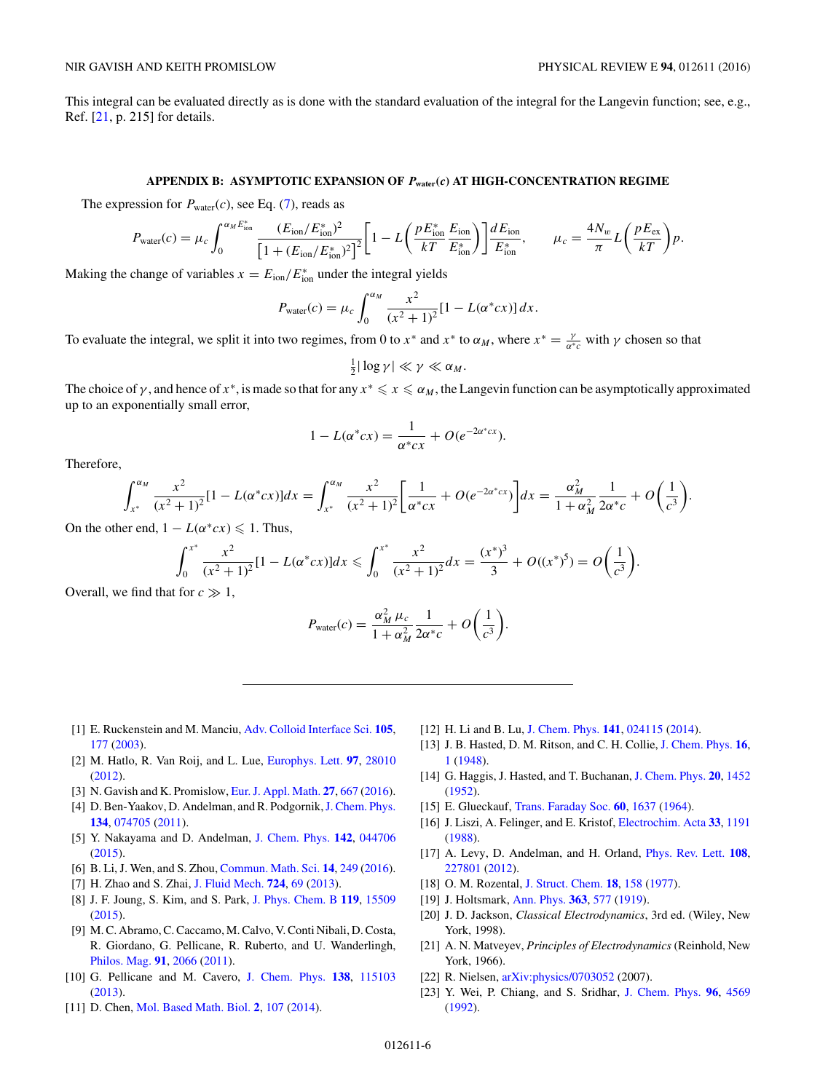<span id="page-5-0"></span>This integral can be evaluated directly as is done with the standard evaluation of the integral for the Langevin function; see, e.g., Ref. [21, p. 215] for details.

## **APPENDIX B: ASYMPTOTIC EXPANSION OF** *P***water(***c***) AT HIGH-CONCENTRATION REGIME**

The expression for  $P_{\text{water}}(c)$ , see Eq. [\(7\)](#page-2-0), reads as

$$
P_{\text{water}}(c) = \mu_c \int_0^{\alpha_M E_{\text{ion}}^*} \frac{(E_{\text{ion}}/E_{\text{ion}}^*)^2}{\left[1 + (E_{\text{ion}}/E_{\text{ion}}^*)^2\right]^2} \left[1 - L\left(\frac{pE_{\text{ion}}^*}{kT} \frac{E_{\text{ion}}}{E_{\text{ion}}^*}\right)\right] \frac{dE_{\text{ion}}}{E_{\text{ion}}^*}, \qquad \mu_c = \frac{4N_w}{\pi} L\left(\frac{pE_{\text{ex}}}{kT}\right) p.
$$

Making the change of variables  $x = E_{\text{ion}}/E_{\text{ion}}^*$  under the integral yields

$$
P_{\text{water}}(c) = \mu_c \int_0^{\alpha_M} \frac{x^2}{(x^2 + 1)^2} [1 - L(\alpha^* c x)] dx.
$$

To evaluate the integral, we split it into two regimes, from 0 to  $x^*$  and  $x^*$  to  $\alpha_M$ , where  $x^* = \frac{\gamma}{\alpha^*c}$  with  $\gamma$  chosen so that

$$
\frac{1}{2}|\log\gamma|\ll\gamma\ll\alpha_M.
$$

The choice of  $\gamma$ , and hence of  $x^*$ , is made so that for any  $x^* \leqslant x \leqslant \alpha_M$ , the Langevin function can be asymptotically approximated up to an exponentially small error,

$$
1 - L(\alpha^* c x) = \frac{1}{\alpha^* c x} + O(e^{-2\alpha^* c x}).
$$

Therefore,

$$
\int_{x^*}^{\alpha_M} \frac{x^2}{(x^2+1)^2} [1-L(\alpha^* cx)] dx = \int_{x^*}^{\alpha_M} \frac{x^2}{(x^2+1)^2} \left[ \frac{1}{\alpha^* cx} + O(e^{-2\alpha^* cx}) \right] dx = \frac{\alpha_M^2}{1+\alpha_M^2} \frac{1}{2\alpha^* c} + O\left(\frac{1}{c^3}\right).
$$

On the other end,  $1 - L(\alpha^* c x) \leq 1$ . Thus,

$$
\int_0^{x^*} \frac{x^2}{(x^2+1)^2} [1-L(\alpha^* cx)] dx \leq \int_0^{x^*} \frac{x^2}{(x^2+1)^2} dx = \frac{(x^*)^3}{3} + O((x^*)^5) = O\left(\frac{1}{c^3}\right).
$$

Overall, we find that for  $c \gg 1$ ,

$$
P_{\text{water}}(c) = \frac{\alpha_M^2 \mu_c}{1 + \alpha_M^2} \frac{1}{2\alpha^* c} + O\left(\frac{1}{c^3}\right).
$$

- [1] E. Ruckenstein and M. Manciu, [Adv. Colloid Interface Sci.](http://dx.doi.org/10.1016/S0001-8686(03)00068-X) **[105](http://dx.doi.org/10.1016/S0001-8686(03)00068-X)**, [177](http://dx.doi.org/10.1016/S0001-8686(03)00068-X) [\(2003\)](http://dx.doi.org/10.1016/S0001-8686(03)00068-X).
- [2] M. Hatlo, R. Van Roij, and L. Lue, [Europhys. Lett.](http://dx.doi.org/10.1209/0295-5075/97/28010) **[97](http://dx.doi.org/10.1209/0295-5075/97/28010)**, [28010](http://dx.doi.org/10.1209/0295-5075/97/28010) [\(2012\)](http://dx.doi.org/10.1209/0295-5075/97/28010).
- [3] N. Gavish and K. Promislow, [Eur. J. Appl. Math.](http://dx.doi.org/10.1017/S0956792515000613) **[27](http://dx.doi.org/10.1017/S0956792515000613)**, [667](http://dx.doi.org/10.1017/S0956792515000613) [\(2016\)](http://dx.doi.org/10.1017/S0956792515000613).
- [4] D. Ben-Yaakov, D. Andelman, and R. Podgornik, J. Chem. Phys. **[134](http://dx.doi.org/10.1063/1.3549915)**, [074705](http://dx.doi.org/10.1063/1.3549915) [\(2011\)](http://dx.doi.org/10.1063/1.3549915).
- [5] Y. Nakayama and D. Andelman, [J. Chem. Phys.](http://dx.doi.org/10.1063/1.4906319) **[142](http://dx.doi.org/10.1063/1.4906319)**, [044706](http://dx.doi.org/10.1063/1.4906319) [\(2015\)](http://dx.doi.org/10.1063/1.4906319).
- [6] B. Li, J. Wen, and S. Zhou, [Commun. Math. Sci.](http://dx.doi.org/10.4310/CMS.2016.v14.n1.a10) **[14](http://dx.doi.org/10.4310/CMS.2016.v14.n1.a10)**, [249](http://dx.doi.org/10.4310/CMS.2016.v14.n1.a10) [\(2016\)](http://dx.doi.org/10.4310/CMS.2016.v14.n1.a10).
- [7] H. Zhao and S. Zhai, [J. Fluid Mech.](http://dx.doi.org/10.1017/jfm.2013.152) **[724](http://dx.doi.org/10.1017/jfm.2013.152)**, [69](http://dx.doi.org/10.1017/jfm.2013.152) [\(2013\)](http://dx.doi.org/10.1017/jfm.2013.152).
- [8] J. F. Joung, S. Kim, and S. Park, [J. Phys. Chem. B](http://dx.doi.org/10.1021/acs.jpcb.5b09905) **[119](http://dx.doi.org/10.1021/acs.jpcb.5b09905)**, [15509](http://dx.doi.org/10.1021/acs.jpcb.5b09905) [\(2015\)](http://dx.doi.org/10.1021/acs.jpcb.5b09905).
- [9] M. C. Abramo, C. Caccamo, M. Calvo, V. Conti Nibali, D. Costa, R. Giordano, G. Pellicane, R. Ruberto, and U. Wanderlingh, [Philos. Mag.](http://dx.doi.org/10.1080/14786435.2011.559485) **[91](http://dx.doi.org/10.1080/14786435.2011.559485)**, [2066](http://dx.doi.org/10.1080/14786435.2011.559485) [\(2011\)](http://dx.doi.org/10.1080/14786435.2011.559485).
- [10] G. Pellicane and M. Cavero, [J. Chem. Phys.](http://dx.doi.org/10.1063/1.4794919) **[138](http://dx.doi.org/10.1063/1.4794919)**, [115103](http://dx.doi.org/10.1063/1.4794919) [\(2013\)](http://dx.doi.org/10.1063/1.4794919).
- [11] D. Chen, [Mol. Based Math. Biol.](http://dx.doi.org/10.2478/mlbmb-2014-0008) **[2](http://dx.doi.org/10.2478/mlbmb-2014-0008)**, [107](http://dx.doi.org/10.2478/mlbmb-2014-0008) [\(2014\)](http://dx.doi.org/10.2478/mlbmb-2014-0008).
- [12] H. Li and B. Lu, [J. Chem. Phys.](http://dx.doi.org/10.1063/1.4887342) **[141](http://dx.doi.org/10.1063/1.4887342)**, [024115](http://dx.doi.org/10.1063/1.4887342) [\(2014\)](http://dx.doi.org/10.1063/1.4887342).
- [13] J. B. Hasted, D. M. Ritson, and C. H. Collie, [J. Chem. Phys.](http://dx.doi.org/10.1063/1.1746645) **[16](http://dx.doi.org/10.1063/1.1746645)**, [1](http://dx.doi.org/10.1063/1.1746645) [\(1948\)](http://dx.doi.org/10.1063/1.1746645).
- [14] G. Haggis, J. Hasted, and T. Buchanan, [J. Chem. Phys.](http://dx.doi.org/10.1063/1.1700780) **[20](http://dx.doi.org/10.1063/1.1700780)**, [1452](http://dx.doi.org/10.1063/1.1700780) [\(1952\)](http://dx.doi.org/10.1063/1.1700780).
- [15] E. Glueckauf, [Trans. Faraday Soc.](http://dx.doi.org/10.1039/tf9646001637) **[60](http://dx.doi.org/10.1039/tf9646001637)**, [1637](http://dx.doi.org/10.1039/tf9646001637) [\(1964\)](http://dx.doi.org/10.1039/tf9646001637).
- [16] J. Liszi, A. Felinger, and E. Kristof, [Electrochim. Acta](http://dx.doi.org/10.1016/0013-4686(88)80148-8) **[33](http://dx.doi.org/10.1016/0013-4686(88)80148-8)**, [1191](http://dx.doi.org/10.1016/0013-4686(88)80148-8) [\(1988\)](http://dx.doi.org/10.1016/0013-4686(88)80148-8).
- [17] A. Levy, D. Andelman, and H. Orland, [Phys. Rev. Lett.](http://dx.doi.org/10.1103/PhysRevLett.108.227801) **[108](http://dx.doi.org/10.1103/PhysRevLett.108.227801)**, [227801](http://dx.doi.org/10.1103/PhysRevLett.108.227801) [\(2012\)](http://dx.doi.org/10.1103/PhysRevLett.108.227801).
- [18] O. M. Rozental, [J. Struct. Chem.](http://dx.doi.org/10.1007/BF00745443) **[18](http://dx.doi.org/10.1007/BF00745443)**, [158](http://dx.doi.org/10.1007/BF00745443) [\(1977\)](http://dx.doi.org/10.1007/BF00745443).
- [19] J. Holtsmark, [Ann. Phys.](http://dx.doi.org/10.1002/andp.19193630702) **[363](http://dx.doi.org/10.1002/andp.19193630702)**, [577](http://dx.doi.org/10.1002/andp.19193630702) [\(1919\)](http://dx.doi.org/10.1002/andp.19193630702).
- [20] J. D. Jackson, *Classical Electrodynamics*, 3rd ed. (Wiley, New York, 1998).
- [21] A. N. Matveyev, *Principles of Electrodynamics* (Reinhold, New York, 1966).
- [22] R. Nielsen, [arXiv:physics/0703052](http://arxiv.org/abs/arXiv:physics/0703052) (2007).
- [23] Y. Wei, P. Chiang, and S. Sridhar, [J. Chem. Phys.](http://dx.doi.org/10.1063/1.462792) **[96](http://dx.doi.org/10.1063/1.462792)**, [4569](http://dx.doi.org/10.1063/1.462792) [\(1992\)](http://dx.doi.org/10.1063/1.462792).